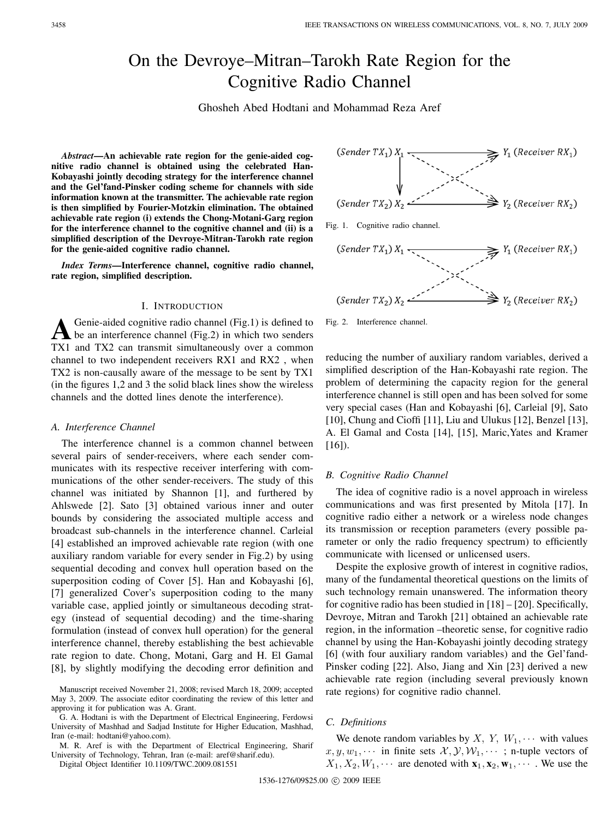# On the Devroye–Mitran–Tarokh Rate Region for the Cognitive Radio Channel

Ghosheh Abed Hodtani and Mohammad Reza Aref

*Abstract***—An achievable rate region for the genie-aided cognitive radio channel is obtained using the celebrated Han-Kobayashi jointly decoding strategy for the interference channel and the Gel'fand-Pinsker coding scheme for channels with side information known at the transmitter. The achievable rate region is then simplified by Fourier-Motzkin elimination. The obtained achievable rate region (i) extends the Chong-Motani-Garg region for the interference channel to the cognitive channel and (ii) is a simplified description of the Devroye-Mitran-Tarokh rate region for the genie-aided cognitive radio channel.**

*Index Terms***—Interference channel, cognitive radio channel, rate region, simplified description.**

#### I. INTRODUCTION

A Genie-aided cognitive radio channel (Fig.1) is defined to<br>be an interference channel (Fig.2) in which two senders TX1 and TX2 can transmit simultaneously over a common channel to two independent receivers RX1 and RX2 , when TX2 is non-causally aware of the message to be sent by TX1 (in the figures 1,2 and 3 the solid black lines show the wireless channels and the dotted lines denote the interference).

#### *A. Interference Channel*

The interference channel is a common channel between several pairs of sender-receivers, where each sender communicates with its respective receiver interfering with communications of the other sender-receivers. The study of this channel was initiated by Shannon [1], and furthered by Ahlswede [2]. Sato [3] obtained various inner and outer bounds by considering the associated multiple access and broadcast sub-channels in the interference channel. Carleial [4] established an improved achievable rate region (with one auxiliary random variable for every sender in Fig.2) by using sequential decoding and convex hull operation based on the superposition coding of Cover [5]. Han and Kobayashi [6], [7] generalized Cover's superposition coding to the many variable case, applied jointly or simultaneous decoding strategy (instead of sequential decoding) and the time-sharing formulation (instead of convex hull operation) for the general interference channel, thereby establishing the best achievable rate region to date. Chong, Motani, Garg and H. El Gamal [8], by slightly modifying the decoding error definition and

G. A. Hodtani is with the Department of Electrical Engineering, Ferdowsi University of Mashhad and Sadjad Institute for Higher Education, Mashhad, Iran (e-mail: hodtani@yahoo.com).

M. R. Aref is with the Department of Electrical Engineering, Sharif University of Technology, Tehran, Iran (e-mail: aref@sharif.edu).

Digital Object Identifier 10.1109/TWC.2009.081551



Fig. 2. Interference channel.

reducing the number of auxiliary random variables, derived a simplified description of the Han-Kobayashi rate region. The problem of determining the capacity region for the general interference channel is still open and has been solved for some very special cases (Han and Kobayashi [6], Carleial [9], Sato [10], Chung and Cioffi [11], Liu and Ulukus [12], Benzel [13], A. El Gamal and Costa [14], [15], Maric,Yates and Kramer  $[16]$ ).

#### *B. Cognitive Radio Channel*

The idea of cognitive radio is a novel approach in wireless communications and was first presented by Mitola [17]. In cognitive radio either a network or a wireless node changes its transmission or reception parameters (every possible parameter or only the radio frequency spectrum) to efficiently communicate with licensed or unlicensed users.

Despite the explosive growth of interest in cognitive radios, many of the fundamental theoretical questions on the limits of such technology remain unanswered. The information theory for cognitive radio has been studied in [18] – [20]. Specifically, Devroye, Mitran and Tarokh [21] obtained an achievable rate region, in the information –theoretic sense, for cognitive radio channel by using the Han-Kobayashi jointly decoding strategy [6] (with four auxiliary random variables) and the Gel'fand-Pinsker coding [22]. Also, Jiang and Xin [23] derived a new achievable rate region (including several previously known rate regions) for cognitive radio channel.

# *C. Definitions*

We denote random variables by X, Y,  $W_1, \cdots$  with values  $x, y, w_1, \cdots$  in finite sets  $\mathcal{X}, \mathcal{Y}, \mathcal{W}_1, \cdots$ ; n-tuple vectors of  $X_1, X_2, W_1, \cdots$  are denoted with  $\mathbf{x}_1, \mathbf{x}_2, \mathbf{w}_1, \cdots$ . We use the

Manuscript received November 21, 2008; revised March 18, 2009; accepted May 3, 2009. The associate editor coordinating the review of this letter and approving it for publication was A. Grant.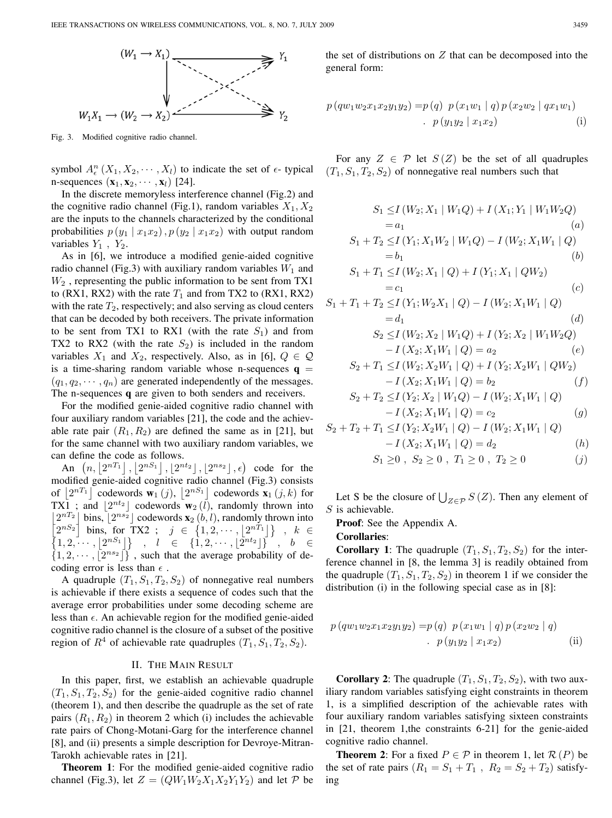

Fig. 3. Modified cognitive radio channel.

symbol  $A^n_{\epsilon}(X_1, X_2, \cdots, X_l)$  to indicate the set of  $\epsilon$ -typical n-sequences  $(\mathbf{x}_1, \mathbf{x}_2, \cdots, \mathbf{x}_l)$  [24].

In the discrete memoryless interference channel (Fig.2) and the cognitive radio channel (Fig.1), random variables  $X_1, X_2$ are the inputs to the channels characterized by the conditional probabilities  $p(y_1 | x_1 x_2)$ ,  $p(y_2 | x_1 x_2)$  with output random variables  $Y_1$ ,  $Y_2$ .

As in [6], we introduce a modified genie-aided cognitive radio channel (Fig.3) with auxiliary random variables  $W_1$  and  $W_2$ , representing the public information to be sent from TX1 to (RX1, RX2) with the rate  $T_1$  and from TX2 to (RX1, RX2) with the rate  $T_2$ , respectively; and also serving as cloud centers that can be decoded by both receivers. The private information to be sent from TX1 to RX1 (with the rate  $S_1$ ) and from TX2 to RX2 (with the rate  $S_2$ ) is included in the random variables  $X_1$  and  $X_2$ , respectively. Also, as in [6],  $Q \in \mathcal{Q}$ is a time-sharing random variable whose n-sequences  $q =$  $(q_1, q_2, \dots, q_n)$  are generated independently of the messages. The n-sequences **q** are given to both senders and receivers.

For the modified genie-aided cognitive radio channel with four auxiliary random variables [21], the code and the achievable rate pair  $(R_1, R_2)$  are defined the same as in [21], but for the same channel with two auxiliary random variables, we can define the code as follows.

An  $(n, |2^{nT_1}|, |2^{nS_1}|, |2^{nt_2}|, |2^{ns_2}|, \epsilon)$  code for the modified genie-aided cognitive radio channel (Fig.3) consists of  $\lfloor 2^{nT_1} \rfloor$  codewords  $\mathbf{w}_1(j)$ ,  $\lfloor 2^{nS_1} \rfloor$  codewords  $\mathbf{x}_1(j,k)$  for TX1 ; and  $|2^{nt_2}|$  codewords  $w_2(l)$ , randomly thrown into  $\lfloor 2^{nT_2} \rfloor$  bins,  $\lfloor 2^{ns_2} \rfloor$  codewords  $\mathbf{x}_2(b, l)$ , randomly thrown into  $\left[2^{nS_2}\right]$  bins, for TX2 ;  $j \in \{1, 2, \dots, |2^{nT_1}|\}$ ,  $k \in$  $\{1, 2, \cdots, |2^{nS_1}|\}$ ,  $l \in \{1, 2, \cdots, |2^{nt_2}|\}$ ,  $b \in$  $\{1, 2, \cdots, \lfloor 2^{n s_2} \rfloor \}$ , such that the average probability of decoding error is less than  $\epsilon$ .

A quadruple  $(T_1, S_1, T_2, S_2)$  of nonnegative real numbers is achievable if there exists a sequence of codes such that the average error probabilities under some decoding scheme are less than  $\epsilon$ . An achievable region for the modified genie-aided cognitive radio channel is the closure of a subset of the positive region of  $R^4$  of achievable rate quadruples  $(T_1, S_1, T_2, S_2)$ .

### II. THE MAIN RESULT

In this paper, first, we establish an achievable quadruple  $(T_1, S_1, T_2, S_2)$  for the genie-aided cognitive radio channel (theorem 1), and then describe the quadruple as the set of rate pairs  $(R_1, R_2)$  in theorem 2 which (i) includes the achievable rate pairs of Chong-Motani-Garg for the interference channel [8], and (ii) presents a simple description for Devroye-Mitran-Tarokh achievable rates in [21].

**Theorem 1**: For the modified genie-aided cognitive radio channel (Fig.3), let  $Z = (QW_1W_2X_1X_2Y_1Y_2)$  and let  $P$  be the set of distributions on  $Z$  that can be decomposed into the general form:

$$
p (qw_1w_2x_1x_2y_1y_2) = p (q) p (x_1w_1 | q) p (x_2w_2 | qx_1w_1)
$$
  
. 
$$
p (y_1y_2 | x_1x_2)
$$
 (i)

For any  $Z \in \mathcal{P}$  let  $S(Z)$  be the set of all quadruples  $(T_1, S_1, T_2, S_2)$  of nonnegative real numbers such that

$$
S_{1} \leq I (W_{2}; X_{1} | W_{1}Q) + I (X_{1}; Y_{1} | W_{1}W_{2}Q)
$$
\n
$$
= a_{1} \qquad (a)
$$
\n
$$
S_{1} + T_{2} \leq I (Y_{1}; X_{1}W_{2} | W_{1}Q) - I (W_{2}; X_{1}W_{1} | Q)
$$
\n
$$
= b_{1} \qquad (b)
$$
\n
$$
S_{1} + T_{1} \leq I (W_{2}; X_{1} | Q) + I (Y_{1}; X_{1} | QW_{2})
$$
\n
$$
= c_{1} \qquad (c)
$$
\n
$$
S_{1} + T_{1} + T_{2} \leq I (Y_{1}; W_{2}X_{1} | Q) - I (W_{2}; X_{1}W_{1} | Q)
$$
\n
$$
= d_{1} \qquad (d)
$$
\n
$$
S_{2} \leq I (W_{2}; X_{2} | W_{1}Q) + I (Y_{2}; X_{2} | W_{1}W_{2}Q)
$$
\n
$$
- I (X_{2}; X_{1}W_{1} | Q) = a_{2} \qquad (e)
$$
\n
$$
S_{2} + T_{1} \leq I (W_{2}; X_{2}W_{1} | Q) + I (Y_{2}; X_{2}W_{1} | QW_{2})
$$
\n
$$
- I (X_{2}; X_{1}W_{1} | Q) = b_{2} \qquad (f)
$$
\n
$$
S_{2} + T_{2} \leq I (Y_{2}; X_{2} | W_{1}Q) - I (W_{2}; X_{1}W_{1} | Q)
$$
\n
$$
- I (X_{2}; X_{1}W_{1} | Q) = c_{2} \qquad (g)
$$

$$
S_2 + T_2 + T_1 \le I(Y_2; X_2W_1 | Q) - I(W_2; X_1W_1 | Q)
$$

$$
- I(X_2; X_1 W_1 | Q) = d_2 \tag{h}
$$

$$
S_1 \ge 0 , S_2 \ge 0 , T_1 \ge 0 , T_2 \ge 0
$$
 (j)

Let S be the closure of  $\bigcup_{Z \in \mathcal{P}} S(Z)$ . Then any element of  $S$  is achievable.

**Proof**: See the Appendix A.

# **Corollaries**:

**Corollary 1**: The quadruple  $(T_1, S_1, T_2, S_2)$  for the interference channel in [8, the lemma 3] is readily obtained from the quadruple  $(T_1, S_1, T_2, S_2)$  in theorem 1 if we consider the distribution (i) in the following special case as in [8]:

$$
p (qw_1w_2x_1x_2y_1y_2) = p (q) p (x_1w_1 | q) p (x_2w_2 | q)
$$
  
. 
$$
p (y_1y_2 | x_1x_2)
$$
 (ii)

**Corollary 2**: The quadruple  $(T_1, S_1, T_2, S_2)$ , with two auxiliary random variables satisfying eight constraints in theorem 1, is a simplified description of the achievable rates with four auxiliary random variables satisfying sixteen constraints in [21, theorem 1,the constraints 6-21] for the genie-aided cognitive radio channel.

**Theorem 2**: For a fixed  $P \in \mathcal{P}$  in theorem 1, let  $\mathcal{R}(P)$  be the set of rate pairs  $(R_1 = S_1 + T_1, R_2 = S_2 + T_2)$  satisfying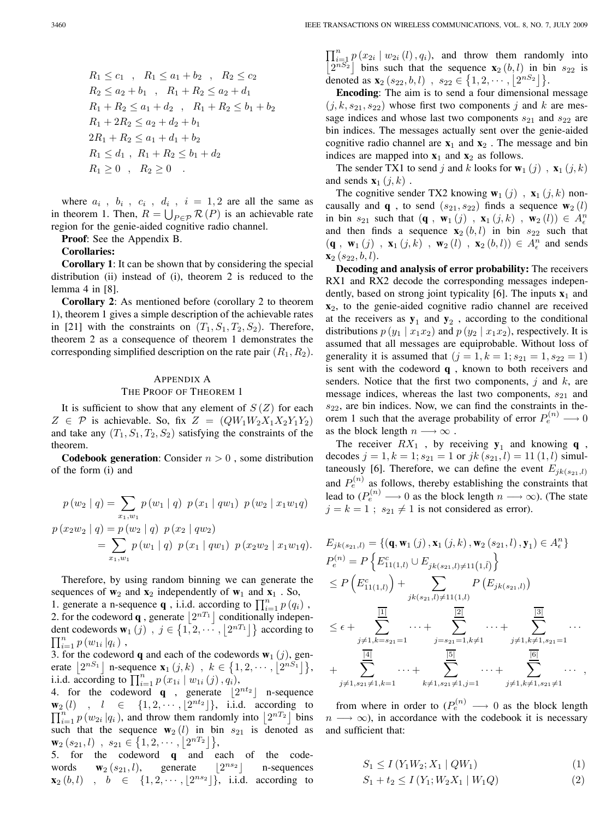$R_1 \leq c_1$ ,  $R_1 \leq a_1 + b_2$ ,  $R_2 \leq c_2$  $R_2 \le a_2 + b_1$ ,  $R_1 + R_2 \le a_2 + d_1$  $R_1 + R_2 \leq a_1 + d_2$ ,  $R_1 + R_2 \leq b_1 + b_2$  $R_1 + 2R_2 \leq a_2 + d_2 + b_1$  $2R_1 + R_2 \leq a_1 + d_1 + b_2$  $R_1 \leq d_1$ ,  $R_1 + R_2 \leq b_1 + d_2$  $R_1 > 0$ ,  $R_2 > 0$ .

where  $a_i$ ,  $b_i$ ,  $c_i$ ,  $d_i$ ,  $i = 1, 2$  are all the same as in theorem 1. Then,  $R = \bigcup_{P \in \mathcal{P}} \mathcal{R}(P)$  is an achievable rate region for the genie-aided cognitive radio channel.

**Proof**: See the Appendix B.

#### **Corollaries:**

**Corollary 1**: It can be shown that by considering the special distribution (ii) instead of (i), theorem 2 is reduced to the lemma 4 in [8].

**Corollary 2**: As mentioned before (corollary 2 to theorem 1), theorem 1 gives a simple description of the achievable rates in [21] with the constraints on  $(T_1, S_1, T_2, S_2)$ . Therefore, theorem 2 as a consequence of theorem 1 demonstrates the corresponding simplified description on the rate pair  $(R_1, R_2)$ .

#### APPENDIX A

#### THE PROOF OF THEOREM 1

It is sufficient to show that any element of  $S(Z)$  for each  $Z \in \mathcal{P}$  is achievable. So, fix  $Z = (QW_1W_2X_1X_2Y_1Y_2)$ and take any  $(T_1, S_1, T_2, S_2)$  satisfying the constraints of the theorem.

**Codebook generation:** Consider  $n > 0$ , some distribution of the form (i) and

$$
p(w_2 | q) = \sum_{x_1, w_1} p(w_1 | q) p(x_1 | qw_1) p(w_2 | x_1w_1q)
$$
  

$$
p(x_2w_2 | q) = p(w_2 | q) p(x_2 | qw_2)
$$
  

$$
= \sum_{x_1, w_1} p(w_1 | q) p(x_1 | qw_1) p(x_2w_2 | x_1w_1q).
$$

Therefore, by using random binning we can generate the sequences of  $w_2$  and  $x_2$  independently of  $w_1$  and  $x_1$ . So, 1. generate a n-sequence **q**, i.i.d. according to  $\prod_{i=1}^{n} p(q_i)$ , 2. for the codeword **q**, generate  $|2^{nT_1}|$  conditionally independent codewords  $\mathbf{w}_1(j)$ ,  $j \in \{1, 2, \cdots, \lfloor 2^{nT_1} \rfloor\}$  according to  $\prod_{i=1}^{n} p(w_{1i} | q_i)$ ,

3. for the codeword **q** and each of the codewords  $\mathbf{w}_1(j)$ , generate  $\left[2^{nS_1}\right]$  n-sequence  $\mathbf{x}_1(j,k)$ ,  $k \in \{1,2,\dots,\left[2^{nS_1}\right]\},$ i.i.d. according to  $\prod_{i=1}^{n} p(x_{1i} | w_{1i} (j), q_i)$ ,

4. for the codeword **q** , generate  $\lfloor 2^{nt_2} \rfloor$  n-sequence  $\mathbf{w}_2(l)$ ,  $l \in \{1, 2, \cdots, \lfloor 2^{nt_2} \rfloor \}$ , i.i.d. according to  $\nabla^{n}$  $\prod_{i=1}^{n} p(w_{2i} | q_i)$ , and throw them randomly into  $\lfloor 2^{nT_2} \rfloor$  bins such that the sequence  $\mathbf{w}_2$  (l) in bin  $s_{21}$  is denoted as  $\mathbf{w}_2(s_{21}, l)$ ,  $s_{21} \in \{1, 2, \cdots, |2^{nT_2}|\},\$ 

5. for the codeword **q** and each of the codewords  $\mathbf{w}_2(s_{21}, l)$ , generate  $|2^{ns_2}|$  n-sequences  $\mathbf{x}_2(b, l)$  ,  $b \in \{1, 2, \dots, \lfloor 2^{n s_2} \rfloor\}, \text{ i.i.d. according to }$   $\prod_{i=1}^{n} p(x_{2i} | w_{2i} (l), q_i)$ , and throw them randomly into  $\left[2^{nS_2}\right]$  bins such that the sequence  $\mathbf{x}_2(b, l)$  in bin  $s_{22}$  is denoted as  $\mathbf{x}_2(s_{22}, b, l)$ ,  $s_{22} \in \{1, 2, \cdots, |2^{nS_2}|\}.$ 

**Encoding**: The aim is to send a four dimensional message  $(i, k, s_{21}, s_{22})$  whose first two components j and k are message indices and whose last two components  $s_{21}$  and  $s_{22}$  are bin indices. The messages actually sent over the genie-aided cognitive radio channel are  $x_1$  and  $x_2$ . The message and bin indices are mapped into  $x_1$  and  $x_2$  as follows.

The sender TX1 to send j and k looks for  $\mathbf{w}_1(j)$ ,  $\mathbf{x}_1(j,k)$ and sends  $\mathbf{x}_1$   $(j, k)$ .

The cognitive sender TX2 knowing  $\mathbf{w}_1(j)$ ,  $\mathbf{x}_1(j,k)$  noncausally and **q**, to send  $(s_{21}, s_{22})$  finds a sequence  $\mathbf{w}_2(l)$ in bin  $s_{21}$  such that  $(\mathbf{q}$ ,  $\mathbf{w}_1(j)$ ,  $\mathbf{x}_1(j,k)$ ,  $\mathbf{w}_2(l)$ )  $\in A^n_{\epsilon}$ and then finds a sequence  $\mathbf{x}_2(b, l)$  in bin  $s_{22}$  such that  $(\mathbf{q}, \mathbf{w}_1(j), \mathbf{x}_1(j,k), \mathbf{w}_2(l), \mathbf{x}_2(b,l)) \in A_{\epsilon}^n$  and sends  $\mathbf{x}_2$  (s<sub>22</sub>, b, l).

**Decoding and analysis of error probability:** The receivers RX1 and RX2 decode the corresponding messages independently, based on strong joint typicality [6]. The inputs  $\mathbf{x}_1$  and **x**2, to the genie-aided cognitive radio channel are received at the receivers as  $y_1$  and  $y_2$ , according to the conditional distributions  $p(y_1 | x_1x_2)$  and  $p(y_2 | x_1x_2)$ , respectively. It is assumed that all messages are equiprobable. Without loss of generality it is assumed that  $(j = 1, k = 1; s_{21} = 1, s_{22} = 1)$ is sent with the codeword **q** , known to both receivers and senders. Notice that the first two components,  $j$  and  $k$ , are message indices, whereas the last two components,  $s_{21}$  and  $s_{22}$ , are bin indices. Now, we can find the constraints in theorem 1 such that the average probability of error  $P_e^{(n)} \longrightarrow 0$ as the block length  $n \longrightarrow \infty$ .

The receiver  $RX_1$ , by receiving  $y_1$  and knowing **q**, decodes  $j = 1, k = 1$ ;  $s_{21} = 1$  or  $jk$   $(s_{21}, l) = 11$   $(1, l)$  simultaneously [6]. Therefore, we can define the event  $E_{jk(s_{21},l)}$ and  $P_e^{(n)}$  as follows, thereby establishing the constraints that lead to  $(P_e^{(n)} \longrightarrow 0$  as the block length  $n \longrightarrow \infty$ ). (The state  $j = k = 1$ ;  $s_{21} \neq 1$  is not considered as error).

$$
E_{jk(s_{21},l)} = \{(\mathbf{q}, \mathbf{w}_1(j), \mathbf{x}_1(j,k), \mathbf{w}_2(s_{21}, l), \mathbf{y}_1) \in A_{\epsilon}^n\}
$$
  
\n
$$
P_{\epsilon}^{(n)} = P\left\{E_{11(1,l)}^c \cup E_{jk(s_{21},l)\neq 11(1,\hat{l})}\right\}
$$
  
\n
$$
\leq P\left(E_{11(1,l)}^c\right) + \sum_{jk(s_{21},l)\neq 11(1,l)} P\left(E_{jk(s_{21},l)}\right)
$$
  
\n
$$
\leq \epsilon + \sum_{\substack{j\neq 1, k=s_{21}=1}}^{\boxed{11}} \cdots + \sum_{\substack{j=s_{21}=1, k\neq 1}}^{\boxed{21}} \cdots + \sum_{\substack{j\neq 1, k\neq 1, s_{21}=1}}^{\boxed{31}} \cdots + \sum_{\substack{j\neq 1, k\neq 1, s_{21}=1}}^{\boxed{61}} \cdots + \sum_{\substack{j\neq 1, k\neq 1, s_{21}\neq 1}}^{\boxed{61}} \cdots + \sum_{\substack{j\neq 1, k\neq 1, s_{21}\neq 1}}^{\boxed{61}} \cdots + \sum_{\substack{j\neq 1, k\neq 1, s_{21}\neq 1}}^{\boxed{61}} \cdots
$$

from where in order to  $(P_e^{(n)} \longrightarrow 0$  as the block length  $n \longrightarrow \infty$ ), in accordance with the codebook it is necessary and sufficient that:

$$
S_1 \le I(Y_1W_2; X_1 | QW_1)
$$
  
\n
$$
S_1 + t_2 \le I(Y_1; W_2X_1 | W_1Q)
$$
\n(1)  
\n(2)